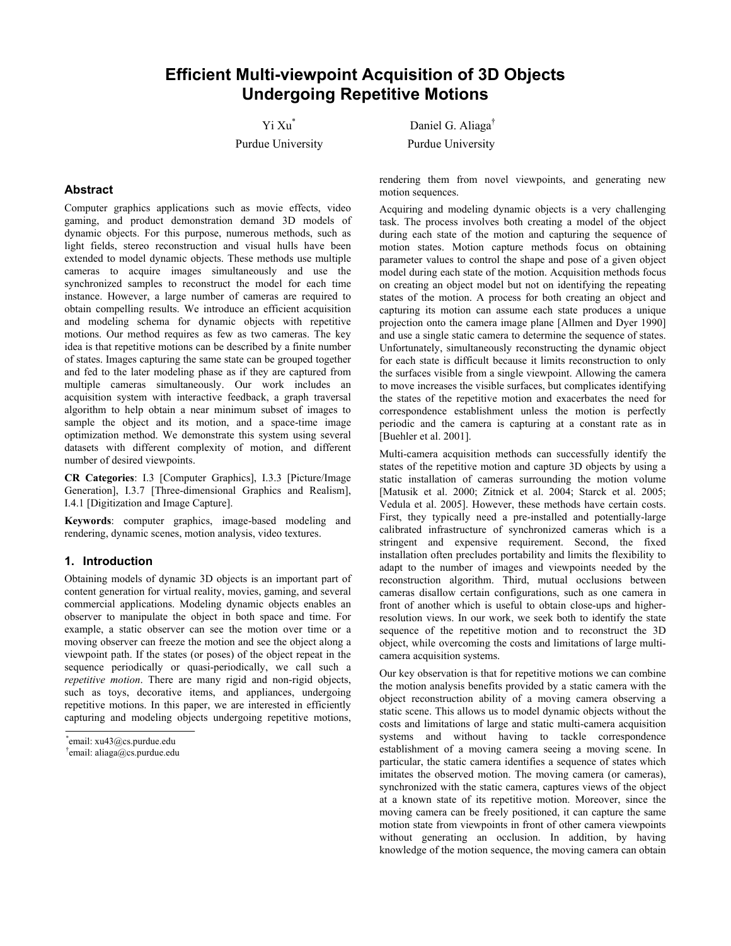# **Efficient Multi-viewpoint Acquisition of 3D Objects Undergoing Repetitive Motions**

Yi Xu\*

Purdue University<br>
Purdue University

Daniel G. Aliaga†

# **Abstract**

Computer graphics applications such as movie effects, video gaming, and product demonstration demand 3D models of dynamic objects. For this purpose, numerous methods, such as light fields, stereo reconstruction and visual hulls have been extended to model dynamic objects. These methods use multiple cameras to acquire images simultaneously and use the synchronized samples to reconstruct the model for each time instance. However, a large number of cameras are required to obtain compelling results. We introduce an efficient acquisition and modeling schema for dynamic objects with repetitive motions. Our method requires as few as two cameras. The key idea is that repetitive motions can be described by a finite number of states. Images capturing the same state can be grouped together and fed to the later modeling phase as if they are captured from multiple cameras simultaneously. Our work includes an acquisition system with interactive feedback, a graph traversal algorithm to help obtain a near minimum subset of images to sample the object and its motion, and a space-time image optimization method. We demonstrate this system using several datasets with different complexity of motion, and different number of desired viewpoints.

**CR Categories**: I.3 [Computer Graphics], I.3.3 [Picture/Image Generation], I.3.7 [Three-dimensional Graphics and Realism], I.4.1 [Digitization and Image Capture].

**Keywords**: computer graphics, image-based modeling and rendering, dynamic scenes, motion analysis, video textures.

#### **1. Introduction**

Obtaining models of dynamic 3D objects is an important part of content generation for virtual reality, movies, gaming, and several commercial applications. Modeling dynamic objects enables an observer to manipulate the object in both space and time. For example, a static observer can see the motion over time or a moving observer can freeze the motion and see the object along a viewpoint path. If the states (or poses) of the object repeat in the sequence periodically or quasi-periodically, we call such a *repetitive motion*. There are many rigid and non-rigid objects, such as toys, decorative items, and appliances, undergoing repetitive motions. In this paper, we are interested in efficiently capturing and modeling objects undergoing repetitive motions,

\* email: xu43@cs.purdue.edu †

rendering them from novel viewpoints, and generating new motion sequences.

Acquiring and modeling dynamic objects is a very challenging task. The process involves both creating a model of the object during each state of the motion and capturing the sequence of motion states. Motion capture methods focus on obtaining parameter values to control the shape and pose of a given object model during each state of the motion. Acquisition methods focus on creating an object model but not on identifying the repeating states of the motion. A process for both creating an object and capturing its motion can assume each state produces a unique projection onto the camera image plane [Allmen and Dyer 1990] and use a single static camera to determine the sequence of states. Unfortunately, simultaneously reconstructing the dynamic object for each state is difficult because it limits reconstruction to only the surfaces visible from a single viewpoint. Allowing the camera to move increases the visible surfaces, but complicates identifying the states of the repetitive motion and exacerbates the need for correspondence establishment unless the motion is perfectly periodic and the camera is capturing at a constant rate as in [Buehler et al. 2001].

Multi-camera acquisition methods can successfully identify the states of the repetitive motion and capture 3D objects by using a static installation of cameras surrounding the motion volume [Matusik et al. 2000; Zitnick et al. 2004; Starck et al. 2005; Vedula et al. 2005]. However, these methods have certain costs. First, they typically need a pre-installed and potentially-large calibrated infrastructure of synchronized cameras which is a stringent and expensive requirement. Second, the fixed installation often precludes portability and limits the flexibility to adapt to the number of images and viewpoints needed by the reconstruction algorithm. Third, mutual occlusions between cameras disallow certain configurations, such as one camera in front of another which is useful to obtain close-ups and higherresolution views. In our work, we seek both to identify the state sequence of the repetitive motion and to reconstruct the 3D object, while overcoming the costs and limitations of large multicamera acquisition systems.

Our key observation is that for repetitive motions we can combine the motion analysis benefits provided by a static camera with the object reconstruction ability of a moving camera observing a static scene. This allows us to model dynamic objects without the costs and limitations of large and static multi-camera acquisition systems and without having to tackle correspondence establishment of a moving camera seeing a moving scene. In particular, the static camera identifies a sequence of states which imitates the observed motion. The moving camera (or cameras), synchronized with the static camera, captures views of the object at a known state of its repetitive motion. Moreover, since the moving camera can be freely positioned, it can capture the same motion state from viewpoints in front of other camera viewpoints without generating an occlusion. In addition, by having knowledge of the motion sequence, the moving camera can obtain

 $\text{[t]}\text{email:}\text{aliasa}(a)$ cs.purdue.edu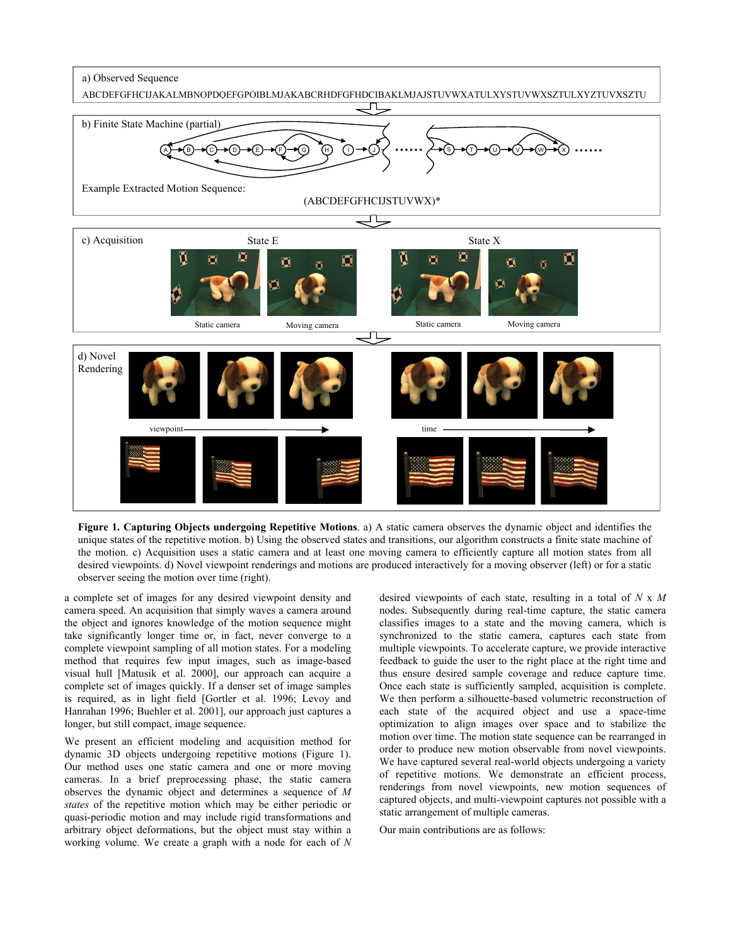a) Observed Sequence



**Figure 1. Capturing Objects undergoing Repetitive Motions**. a) A static camera observes the dynamic object and identifies the unique states of the repetitive motion. b) Using the observed states and transitions, our algorithm constructs a finite state machine of the motion. c) Acquisition uses a static camera and at least one moving camera to efficiently capture all motion states from all desired viewpoints. d) Novel viewpoint renderings and motions are produced interactively for a moving observer (left) or for a static observer seeing the motion over time (right).

a complete set of images for any desired viewpoint density and camera speed. An acquisition that simply waves a camera around the object and ignores knowledge of the motion sequence might take significantly longer time or, in fact, never converge to a complete viewpoint sampling of all motion states. For a modeling method that requires few input images, such as image-based visual hull [Matusik et al. 2000], our approach can acquire a complete set of images quickly. If a denser set of image samples is required, as in light field [Gortler et al. 1996; Levoy and Hanrahan 1996; Buehler et al. 2001], our approach just captures a longer, but still compact, image sequence.

We present an efficient modeling and acquisition method for dynamic 3D objects undergoing repetitive motions (Figure 1). Our method uses one static camera and one or more moving cameras. In a brief preprocessing phase, the static camera observes the dynamic object and determines a sequence of *M states* of the repetitive motion which may be either periodic or quasi-periodic motion and may include rigid transformations and arbitrary object deformations, but the object must stay within a working volume. We create a graph with a node for each of *N* desired viewpoints of each state, resulting in a total of *N* x *M* nodes. Subsequently during real-time capture, the static camera classifies images to a state and the moving camera, which is synchronized to the static camera, captures each state from multiple viewpoints. To accelerate capture, we provide interactive feedback to guide the user to the right place at the right time and thus ensure desired sample coverage and reduce capture time. Once each state is sufficiently sampled, acquisition is complete. We then perform a silhouette-based volumetric reconstruction of each state of the acquired object and use a space-time optimization to align images over space and to stabilize the motion over time. The motion state sequence can be rearranged in order to produce new motion observable from novel viewpoints. We have captured several real-world objects undergoing a variety of repetitive motions. We demonstrate an efficient process, renderings from novel viewpoints, new motion sequences of captured objects, and multi-viewpoint captures not possible with a static arrangement of multiple cameras.

Our main contributions are as follows: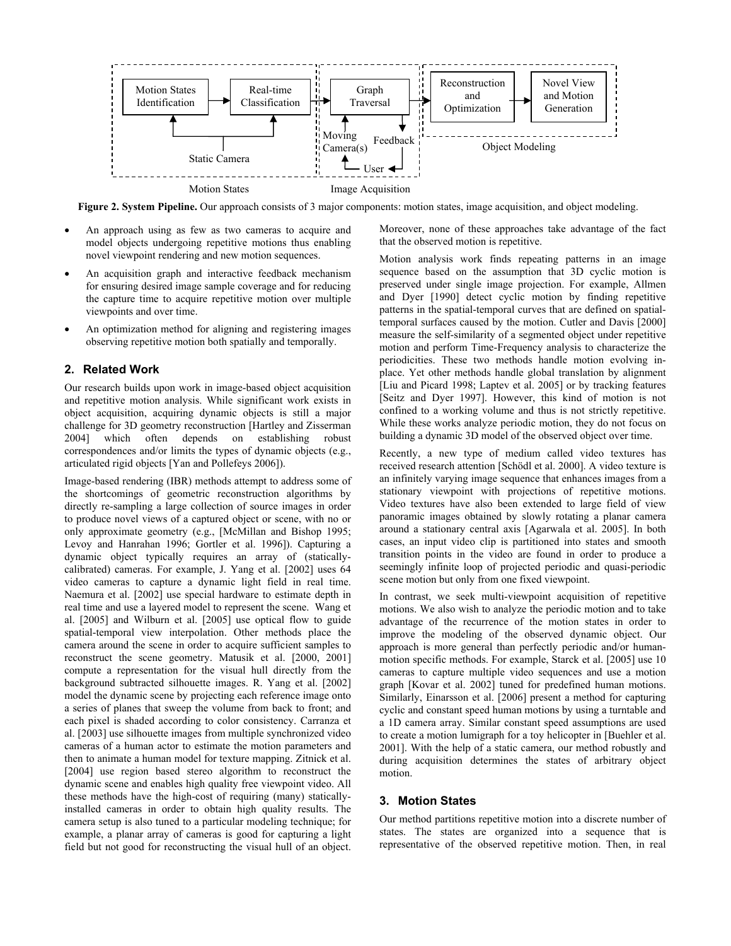

**Figure 2. System Pipeline.** Our approach consists of 3 major components: motion states, image acquisition, and object modeling.

- An approach using as few as two cameras to acquire and model objects undergoing repetitive motions thus enabling novel viewpoint rendering and new motion sequences.
- An acquisition graph and interactive feedback mechanism for ensuring desired image sample coverage and for reducing the capture time to acquire repetitive motion over multiple viewpoints and over time.
- An optimization method for aligning and registering images observing repetitive motion both spatially and temporally.

## **2. Related Work**

Our research builds upon work in image-based object acquisition and repetitive motion analysis. While significant work exists in object acquisition, acquiring dynamic objects is still a major challenge for 3D geometry reconstruction [Hartley and Zisserman 2004] which often depends on establishing robust correspondences and/or limits the types of dynamic objects (e.g., articulated rigid objects [Yan and Pollefeys 2006]).

Image-based rendering (IBR) methods attempt to address some of the shortcomings of geometric reconstruction algorithms by directly re-sampling a large collection of source images in order to produce novel views of a captured object or scene, with no or only approximate geometry (e.g., [McMillan and Bishop 1995; Levoy and Hanrahan 1996; Gortler et al. 1996]). Capturing a dynamic object typically requires an array of (staticallycalibrated) cameras. For example, J. Yang et al. [2002] uses 64 video cameras to capture a dynamic light field in real time. Naemura et al. [2002] use special hardware to estimate depth in real time and use a layered model to represent the scene. Wang et al. [2005] and Wilburn et al. [2005] use optical flow to guide spatial-temporal view interpolation. Other methods place the camera around the scene in order to acquire sufficient samples to reconstruct the scene geometry. Matusik et al. [2000, 2001] compute a representation for the visual hull directly from the background subtracted silhouette images. R. Yang et al. [2002] model the dynamic scene by projecting each reference image onto a series of planes that sweep the volume from back to front; and each pixel is shaded according to color consistency. Carranza et al. [2003] use silhouette images from multiple synchronized video cameras of a human actor to estimate the motion parameters and then to animate a human model for texture mapping. Zitnick et al. [2004] use region based stereo algorithm to reconstruct the dynamic scene and enables high quality free viewpoint video. All these methods have the high-cost of requiring (many) staticallyinstalled cameras in order to obtain high quality results. The camera setup is also tuned to a particular modeling technique; for example, a planar array of cameras is good for capturing a light field but not good for reconstructing the visual hull of an object.

Moreover, none of these approaches take advantage of the fact that the observed motion is repetitive.

Motion analysis work finds repeating patterns in an image sequence based on the assumption that 3D cyclic motion is preserved under single image projection. For example, Allmen and Dyer [1990] detect cyclic motion by finding repetitive patterns in the spatial-temporal curves that are defined on spatialtemporal surfaces caused by the motion. Cutler and Davis [2000] measure the self-similarity of a segmented object under repetitive motion and perform Time-Frequency analysis to characterize the periodicities. These two methods handle motion evolving inplace. Yet other methods handle global translation by alignment [Liu and Picard 1998; Laptev et al. 2005] or by tracking features [Seitz and Dyer 1997]. However, this kind of motion is not confined to a working volume and thus is not strictly repetitive. While these works analyze periodic motion, they do not focus on building a dynamic 3D model of the observed object over time.

Recently, a new type of medium called video textures has received research attention [Schödl et al. 2000]. A video texture is an infinitely varying image sequence that enhances images from a stationary viewpoint with projections of repetitive motions. Video textures have also been extended to large field of view panoramic images obtained by slowly rotating a planar camera around a stationary central axis [Agarwala et al. 2005]. In both cases, an input video clip is partitioned into states and smooth transition points in the video are found in order to produce a seemingly infinite loop of projected periodic and quasi-periodic scene motion but only from one fixed viewpoint.

In contrast, we seek multi-viewpoint acquisition of repetitive motions. We also wish to analyze the periodic motion and to take advantage of the recurrence of the motion states in order to improve the modeling of the observed dynamic object. Our approach is more general than perfectly periodic and/or humanmotion specific methods. For example, Starck et al. [2005] use 10 cameras to capture multiple video sequences and use a motion graph [Kovar et al. 2002] tuned for predefined human motions. Similarly, Einarsson et al. [2006] present a method for capturing cyclic and constant speed human motions by using a turntable and a 1D camera array. Similar constant speed assumptions are used to create a motion lumigraph for a toy helicopter in [Buehler et al. 2001]. With the help of a static camera, our method robustly and during acquisition determines the states of arbitrary object motion.

# **3. Motion States**

Our method partitions repetitive motion into a discrete number of states. The states are organized into a sequence that is representative of the observed repetitive motion. Then, in real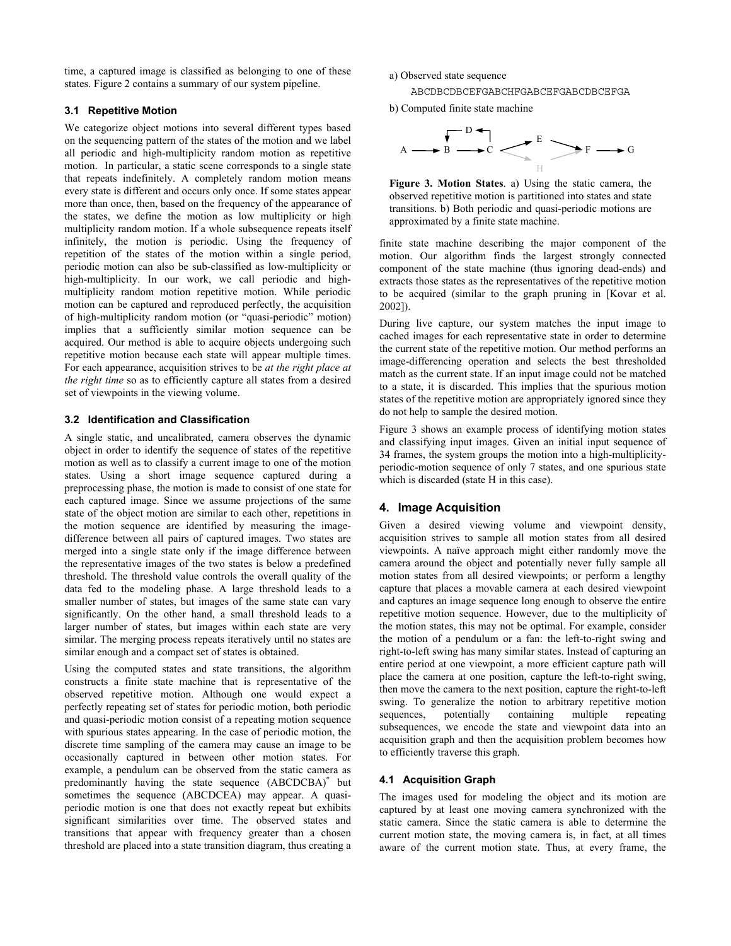time, a captured image is classified as belonging to one of these states. Figure 2 contains a summary of our system pipeline.

# **3.1 Repetitive Motion**

We categorize object motions into several different types based on the sequencing pattern of the states of the motion and we label all periodic and high-multiplicity random motion as repetitive motion. In particular, a static scene corresponds to a single state that repeats indefinitely. A completely random motion means every state is different and occurs only once. If some states appear more than once, then, based on the frequency of the appearance of the states, we define the motion as low multiplicity or high multiplicity random motion. If a whole subsequence repeats itself infinitely, the motion is periodic. Using the frequency of repetition of the states of the motion within a single period, periodic motion can also be sub-classified as low-multiplicity or high-multiplicity. In our work, we call periodic and highmultiplicity random motion repetitive motion. While periodic motion can be captured and reproduced perfectly, the acquisition of high-multiplicity random motion (or "quasi-periodic" motion) implies that a sufficiently similar motion sequence can be acquired. Our method is able to acquire objects undergoing such repetitive motion because each state will appear multiple times. For each appearance, acquisition strives to be *at the right place at the right time* so as to efficiently capture all states from a desired set of viewpoints in the viewing volume.

# **3.2 Identification and Classification**

A single static, and uncalibrated, camera observes the dynamic object in order to identify the sequence of states of the repetitive motion as well as to classify a current image to one of the motion states. Using a short image sequence captured during a preprocessing phase, the motion is made to consist of one state for each captured image. Since we assume projections of the same state of the object motion are similar to each other, repetitions in the motion sequence are identified by measuring the imagedifference between all pairs of captured images. Two states are merged into a single state only if the image difference between the representative images of the two states is below a predefined threshold. The threshold value controls the overall quality of the data fed to the modeling phase. A large threshold leads to a smaller number of states, but images of the same state can vary significantly. On the other hand, a small threshold leads to a larger number of states, but images within each state are very similar. The merging process repeats iteratively until no states are similar enough and a compact set of states is obtained.

Using the computed states and state transitions, the algorithm constructs a finite state machine that is representative of the observed repetitive motion. Although one would expect a perfectly repeating set of states for periodic motion, both periodic and quasi-periodic motion consist of a repeating motion sequence with spurious states appearing. In the case of periodic motion, the discrete time sampling of the camera may cause an image to be occasionally captured in between other motion states. For example, a pendulum can be observed from the static camera as predominantly having the state sequence (ABCDCBA)\* but sometimes the sequence (ABCDCEA) may appear. A quasiperiodic motion is one that does not exactly repeat but exhibits significant similarities over time. The observed states and transitions that appear with frequency greater than a chosen threshold are placed into a state transition diagram, thus creating a

a) Observed state sequence

ABCDBCDBCEFGABCHFGABCEFGABCDBCEFGA

b) Computed finite state machine



**Figure 3. Motion States**. a) Using the static camera, the observed repetitive motion is partitioned into states and state transitions. b) Both periodic and quasi-periodic motions are approximated by a finite state machine.

finite state machine describing the major component of the motion. Our algorithm finds the largest strongly connected component of the state machine (thus ignoring dead-ends) and extracts those states as the representatives of the repetitive motion to be acquired (similar to the graph pruning in [Kovar et al. 2002]).

During live capture, our system matches the input image to cached images for each representative state in order to determine the current state of the repetitive motion. Our method performs an image-differencing operation and selects the best thresholded match as the current state. If an input image could not be matched to a state, it is discarded. This implies that the spurious motion states of the repetitive motion are appropriately ignored since they do not help to sample the desired motion.

Figure 3 shows an example process of identifying motion states and classifying input images. Given an initial input sequence of 34 frames, the system groups the motion into a high-multiplicityperiodic-motion sequence of only 7 states, and one spurious state which is discarded (state H in this case).

## **4. Image Acquisition**

Given a desired viewing volume and viewpoint density, acquisition strives to sample all motion states from all desired viewpoints. A naïve approach might either randomly move the camera around the object and potentially never fully sample all motion states from all desired viewpoints; or perform a lengthy capture that places a movable camera at each desired viewpoint and captures an image sequence long enough to observe the entire repetitive motion sequence. However, due to the multiplicity of the motion states, this may not be optimal. For example, consider the motion of a pendulum or a fan: the left-to-right swing and right-to-left swing has many similar states. Instead of capturing an entire period at one viewpoint, a more efficient capture path will place the camera at one position, capture the left-to-right swing, then move the camera to the next position, capture the right-to-left swing. To generalize the notion to arbitrary repetitive motion sequences, potentially containing multiple repeating subsequences, we encode the state and viewpoint data into an acquisition graph and then the acquisition problem becomes how to efficiently traverse this graph.

#### **4.1 Acquisition Graph**

The images used for modeling the object and its motion are captured by at least one moving camera synchronized with the static camera. Since the static camera is able to determine the current motion state, the moving camera is, in fact, at all times aware of the current motion state. Thus, at every frame, the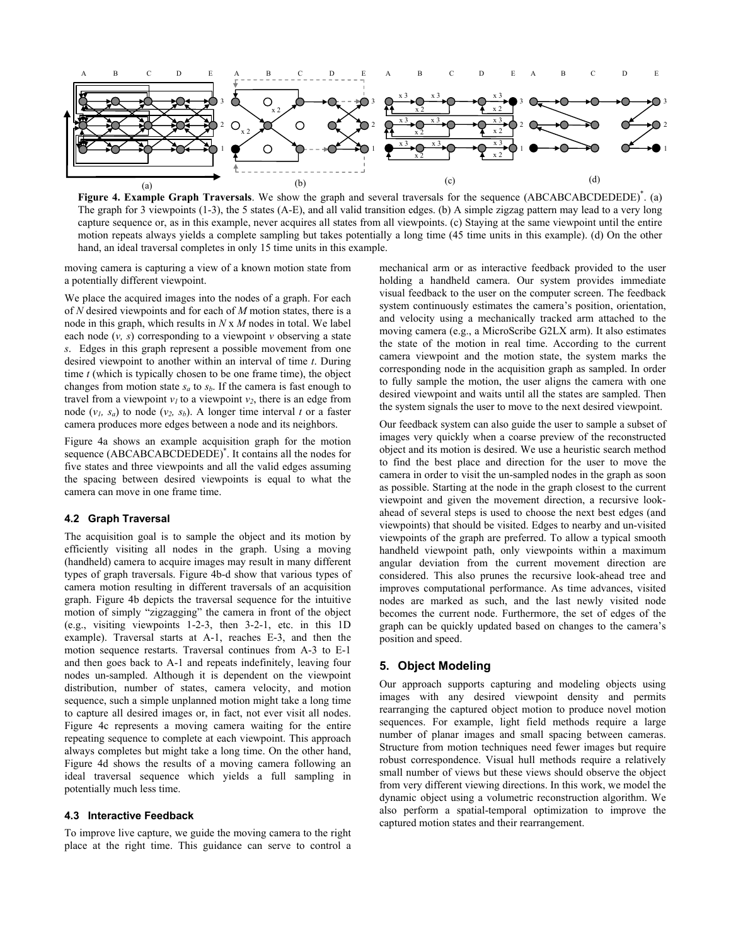

**Figure 4. Example Graph Traversals**. We show the graph and several traversals for the sequence (ABCABCABCDEDEDE)<sup>\*</sup>. (a) The graph for 3 viewpoints (1-3), the 5 states (A-E), and all valid transition edges. (b) A simple zigzag pattern may lead to a very long capture sequence or, as in this example, never acquires all states from all viewpoints. (c) Staying at the same viewpoint until the entire motion repeats always yields a complete sampling but takes potentially a long time (45 time units in this example). (d) On the other hand, an ideal traversal completes in only 15 time units in this example.

moving camera is capturing a view of a known motion state from a potentially different viewpoint.

We place the acquired images into the nodes of a graph. For each of *N* desired viewpoints and for each of *M* motion states, there is a node in this graph, which results in *N* x *M* nodes in total. We label each node  $(v, s)$  corresponding to a viewpoint  $v$  observing a state *s*. Edges in this graph represent a possible movement from one desired viewpoint to another within an interval of time *t*. During time *t* (which is typically chosen to be one frame time), the object changes from motion state  $s_a$  to  $s_b$ . If the camera is fast enough to travel from a viewpoint  $v_1$  to a viewpoint  $v_2$ , there is an edge from node  $(v_l, s_a)$  to node  $(v_2, s_b)$ . A longer time interval *t* or a faster camera produces more edges between a node and its neighbors.

Figure 4a shows an example acquisition graph for the motion sequence (ABCABCABCDEDEDE)\* . It contains all the nodes for five states and three viewpoints and all the valid edges assuming the spacing between desired viewpoints is equal to what the camera can move in one frame time.

#### **4.2 Graph Traversal**

The acquisition goal is to sample the object and its motion by efficiently visiting all nodes in the graph. Using a moving (handheld) camera to acquire images may result in many different types of graph traversals. Figure 4b-d show that various types of camera motion resulting in different traversals of an acquisition graph. Figure 4b depicts the traversal sequence for the intuitive motion of simply "zigzagging" the camera in front of the object (e.g., visiting viewpoints 1-2-3, then 3-2-1, etc. in this 1D example). Traversal starts at A-1, reaches E-3, and then the motion sequence restarts. Traversal continues from A-3 to E-1 and then goes back to A-1 and repeats indefinitely, leaving four nodes un-sampled. Although it is dependent on the viewpoint distribution, number of states, camera velocity, and motion sequence, such a simple unplanned motion might take a long time to capture all desired images or, in fact, not ever visit all nodes. Figure 4c represents a moving camera waiting for the entire repeating sequence to complete at each viewpoint. This approach always completes but might take a long time. On the other hand, Figure 4d shows the results of a moving camera following an ideal traversal sequence which yields a full sampling in potentially much less time.

#### **4.3 Interactive Feedback**

To improve live capture, we guide the moving camera to the right place at the right time. This guidance can serve to control a

mechanical arm or as interactive feedback provided to the user holding a handheld camera. Our system provides immediate visual feedback to the user on the computer screen. The feedback system continuously estimates the camera's position, orientation, and velocity using a mechanically tracked arm attached to the moving camera (e.g., a MicroScribe G2LX arm). It also estimates the state of the motion in real time. According to the current camera viewpoint and the motion state, the system marks the corresponding node in the acquisition graph as sampled. In order to fully sample the motion, the user aligns the camera with one desired viewpoint and waits until all the states are sampled. Then the system signals the user to move to the next desired viewpoint.

Our feedback system can also guide the user to sample a subset of images very quickly when a coarse preview of the reconstructed object and its motion is desired. We use a heuristic search method to find the best place and direction for the user to move the camera in order to visit the un-sampled nodes in the graph as soon as possible. Starting at the node in the graph closest to the current viewpoint and given the movement direction, a recursive lookahead of several steps is used to choose the next best edges (and viewpoints) that should be visited. Edges to nearby and un-visited viewpoints of the graph are preferred. To allow a typical smooth handheld viewpoint path, only viewpoints within a maximum angular deviation from the current movement direction are considered. This also prunes the recursive look-ahead tree and improves computational performance. As time advances, visited nodes are marked as such, and the last newly visited node becomes the current node. Furthermore, the set of edges of the graph can be quickly updated based on changes to the camera's position and speed.

#### **5. Object Modeling**

Our approach supports capturing and modeling objects using images with any desired viewpoint density and permits rearranging the captured object motion to produce novel motion sequences. For example, light field methods require a large number of planar images and small spacing between cameras. Structure from motion techniques need fewer images but require robust correspondence. Visual hull methods require a relatively small number of views but these views should observe the object from very different viewing directions. In this work, we model the dynamic object using a volumetric reconstruction algorithm. We also perform a spatial-temporal optimization to improve the captured motion states and their rearrangement.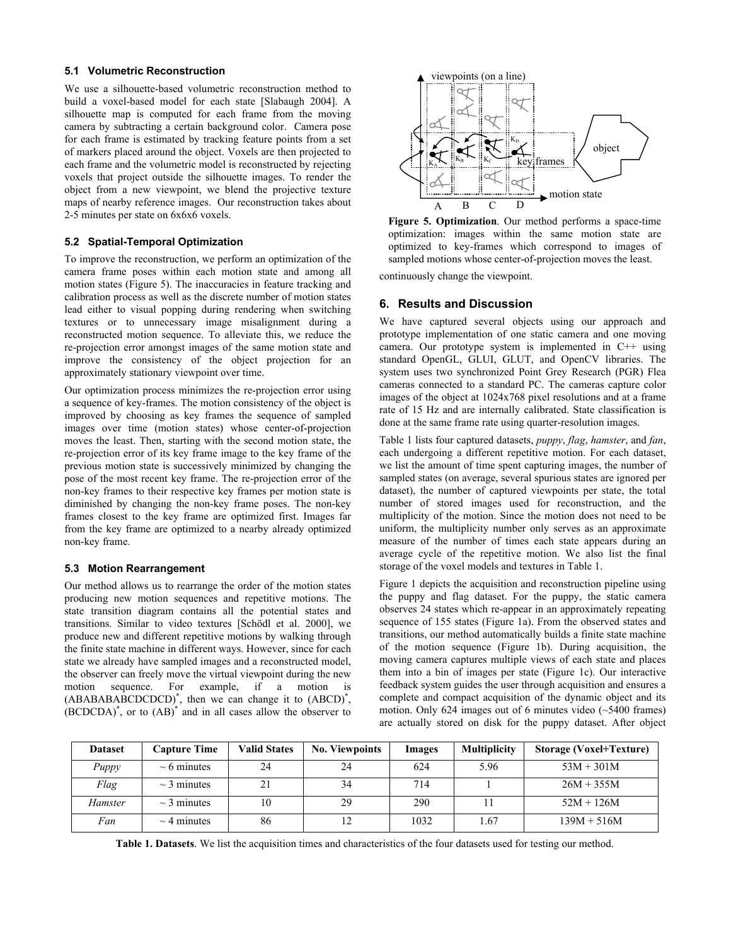#### **5.1 Volumetric Reconstruction**

We use a silhouette-based volumetric reconstruction method to build a voxel-based model for each state [Slabaugh 2004]. A silhouette map is computed for each frame from the moving camera by subtracting a certain background color. Camera pose for each frame is estimated by tracking feature points from a set of markers placed around the object. Voxels are then projected to each frame and the volumetric model is reconstructed by rejecting voxels that project outside the silhouette images. To render the object from a new viewpoint, we blend the projective texture maps of nearby reference images. Our reconstruction takes about 2-5 minutes per state on 6x6x6 voxels.

#### **5.2 Spatial-Temporal Optimization**

To improve the reconstruction, we perform an optimization of the camera frame poses within each motion state and among all motion states (Figure 5). The inaccuracies in feature tracking and calibration process as well as the discrete number of motion states lead either to visual popping during rendering when switching textures or to unnecessary image misalignment during a reconstructed motion sequence. To alleviate this, we reduce the re-projection error amongst images of the same motion state and improve the consistency of the object projection for an approximately stationary viewpoint over time.

Our optimization process minimizes the re-projection error using a sequence of key-frames. The motion consistency of the object is improved by choosing as key frames the sequence of sampled images over time (motion states) whose center-of-projection moves the least. Then, starting with the second motion state, the re-projection error of its key frame image to the key frame of the previous motion state is successively minimized by changing the pose of the most recent key frame. The re-projection error of the non-key frames to their respective key frames per motion state is diminished by changing the non-key frame poses. The non-key frames closest to the key frame are optimized first. Images far from the key frame are optimized to a nearby already optimized non-key frame.

## **5.3 Motion Rearrangement**

Our method allows us to rearrange the order of the motion states producing new motion sequences and repetitive motions. The state transition diagram contains all the potential states and transitions. Similar to video textures [Schödl et al. 2000], we produce new and different repetitive motions by walking through the finite state machine in different ways. However, since for each state we already have sampled images and a reconstructed model, the observer can freely move the virtual viewpoint during the new motion sequence. For example, if a motion is (ABABABABCDCDCD)\* , then we can change it to (ABCD)\* ,  $(BCDCDA)^*$ , or to  $(AB)^*$  and in all cases allow the observer to



**Figure 5. Optimization**. Our method performs a space-time optimization: images within the same motion state are optimized to key-frames which correspond to images of sampled motions whose center-of-projection moves the least.

continuously change the viewpoint.

# **6. Results and Discussion**

We have captured several objects using our approach and prototype implementation of one static camera and one moving camera. Our prototype system is implemented in C++ using standard OpenGL, GLUI, GLUT, and OpenCV libraries. The system uses two synchronized Point Grey Research (PGR) Flea cameras connected to a standard PC. The cameras capture color images of the object at 1024x768 pixel resolutions and at a frame rate of 15 Hz and are internally calibrated. State classification is done at the same frame rate using quarter-resolution images.

Table 1 lists four captured datasets, *puppy*, *flag*, *hamster*, and *fan*, each undergoing a different repetitive motion. For each dataset, we list the amount of time spent capturing images, the number of sampled states (on average, several spurious states are ignored per dataset), the number of captured viewpoints per state, the total number of stored images used for reconstruction, and the multiplicity of the motion. Since the motion does not need to be uniform, the multiplicity number only serves as an approximate measure of the number of times each state appears during an average cycle of the repetitive motion. We also list the final storage of the voxel models and textures in Table 1.

Figure 1 depicts the acquisition and reconstruction pipeline using the puppy and flag dataset. For the puppy, the static camera observes 24 states which re-appear in an approximately repeating sequence of 155 states (Figure 1a). From the observed states and transitions, our method automatically builds a finite state machine of the motion sequence (Figure 1b). During acquisition, the moving camera captures multiple views of each state and places them into a bin of images per state (Figure 1c). Our interactive feedback system guides the user through acquisition and ensures a complete and compact acquisition of the dynamic object and its motion. Only 624 images out of 6 minutes video (~5400 frames) are actually stored on disk for the puppy dataset. After object

| <b>Dataset</b> | Capture Time     | <b>Valid States</b> | <b>No. Viewpoints</b> | Images | <b>Multiplicity</b> | Storage (Voxel+Texture) |
|----------------|------------------|---------------------|-----------------------|--------|---------------------|-------------------------|
| Puppy          | $\sim$ 6 minutes | 24                  | 24                    | 624    | 5.96                | $53M + 301M$            |
| Flag           | $\sim$ 3 minutes | 21                  | 34                    | 714    |                     | $26M + 355M$            |
| Hamster        | $\sim$ 3 minutes | 10                  | 29                    | 290    |                     | $52M + 126M$            |
| Fan            | $\sim$ 4 minutes | 86                  |                       | 1032   | 1.67                | $139M + 516M$           |

**Table 1. Datasets**. We list the acquisition times and characteristics of the four datasets used for testing our method.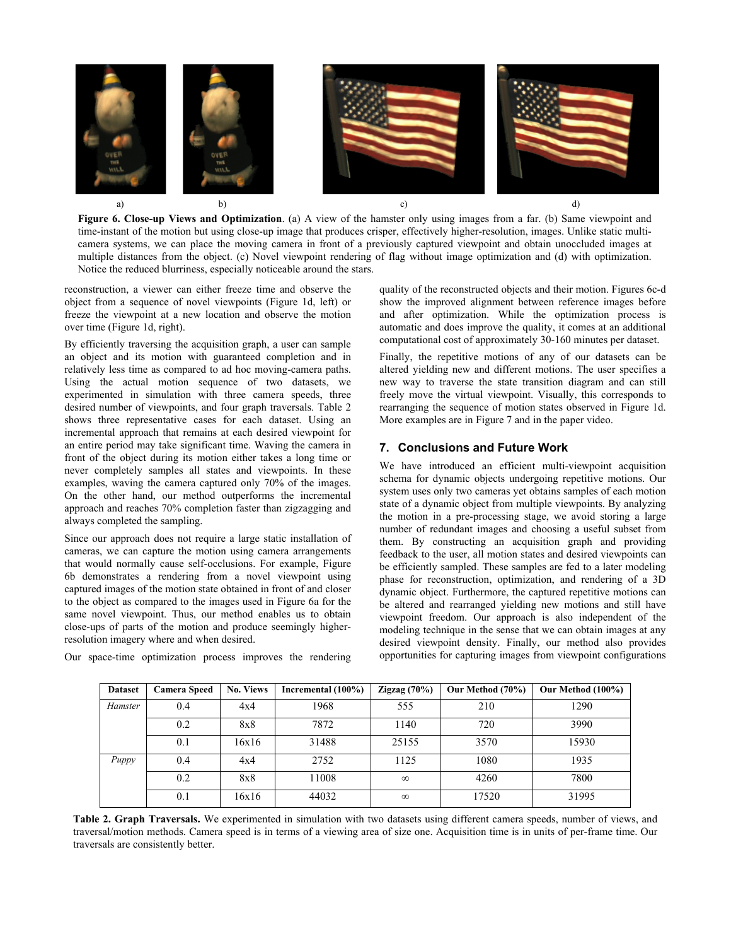

**Figure 6. Close-up Views and Optimization**. (a) A view of the hamster only using images from a far. (b) Same viewpoint and time-instant of the motion but using close-up image that produces crisper, effectively higher-resolution, images. Unlike static multicamera systems, we can place the moving camera in front of a previously captured viewpoint and obtain unoccluded images at multiple distances from the object. (c) Novel viewpoint rendering of flag without image optimization and (d) with optimization. Notice the reduced blurriness, especially noticeable around the stars.

reconstruction, a viewer can either freeze time and observe the object from a sequence of novel viewpoints (Figure 1d, left) or freeze the viewpoint at a new location and observe the motion over time (Figure 1d, right).

By efficiently traversing the acquisition graph, a user can sample an object and its motion with guaranteed completion and in relatively less time as compared to ad hoc moving-camera paths. Using the actual motion sequence of two datasets, we experimented in simulation with three camera speeds, three desired number of viewpoints, and four graph traversals. Table 2 shows three representative cases for each dataset. Using an incremental approach that remains at each desired viewpoint for an entire period may take significant time. Waving the camera in front of the object during its motion either takes a long time or never completely samples all states and viewpoints. In these examples, waving the camera captured only 70% of the images. On the other hand, our method outperforms the incremental approach and reaches 70% completion faster than zigzagging and always completed the sampling.

Since our approach does not require a large static installation of cameras, we can capture the motion using camera arrangements that would normally cause self-occlusions. For example, Figure 6b demonstrates a rendering from a novel viewpoint using captured images of the motion state obtained in front of and closer to the object as compared to the images used in Figure 6a for the same novel viewpoint. Thus, our method enables us to obtain close-ups of parts of the motion and produce seemingly higherresolution imagery where and when desired.

quality of the reconstructed objects and their motion. Figures 6c-d show the improved alignment between reference images before and after optimization. While the optimization process is automatic and does improve the quality, it comes at an additional computational cost of approximately 30-160 minutes per dataset.

Finally, the repetitive motions of any of our datasets can be altered yielding new and different motions. The user specifies a new way to traverse the state transition diagram and can still freely move the virtual viewpoint. Visually, this corresponds to rearranging the sequence of motion states observed in Figure 1d. More examples are in Figure 7 and in the paper video.

# **7. Conclusions and Future Work**

We have introduced an efficient multi-viewpoint acquisition schema for dynamic objects undergoing repetitive motions. Our system uses only two cameras yet obtains samples of each motion state of a dynamic object from multiple viewpoints. By analyzing the motion in a pre-processing stage, we avoid storing a large number of redundant images and choosing a useful subset from them. By constructing an acquisition graph and providing feedback to the user, all motion states and desired viewpoints can be efficiently sampled. These samples are fed to a later modeling phase for reconstruction, optimization, and rendering of a 3D dynamic object. Furthermore, the captured repetitive motions can be altered and rearranged yielding new motions and still have viewpoint freedom. Our approach is also independent of the modeling technique in the sense that we can obtain images at any desired viewpoint density. Finally, our method also provides opportunities for capturing images from viewpoint configurations

| <b>Dataset</b> | <b>Camera Speed</b> | <b>No. Views</b> | Incremental (100%) | Zigzag $(70\%)$ | Our Method (70%) | Our Method (100%) |
|----------------|---------------------|------------------|--------------------|-----------------|------------------|-------------------|
| Hamster        | 0.4                 | 4x4              | 1968               | 555             | 210              | 1290              |
|                | 0.2                 | 8x8              | 7872               | 1140            | 720              | 3990              |
|                | 0.1                 | 16x16            | 31488              | 25155           | 3570             | 15930             |
| Puppy          | 0.4                 | 4x4              | 2752               | 1125            | 1080             | 1935              |
|                | 0.2                 | 8x8              | 11008              | $\infty$        | 4260             | 7800              |
|                | 0.1                 | 16x16            | 44032              | $\infty$        | 17520            | 31995             |

Our space-time optimization process improves the rendering

**Table 2. Graph Traversals.** We experimented in simulation with two datasets using different camera speeds, number of views, and traversal/motion methods. Camera speed is in terms of a viewing area of size one. Acquisition time is in units of per-frame time. Our traversals are consistently better.